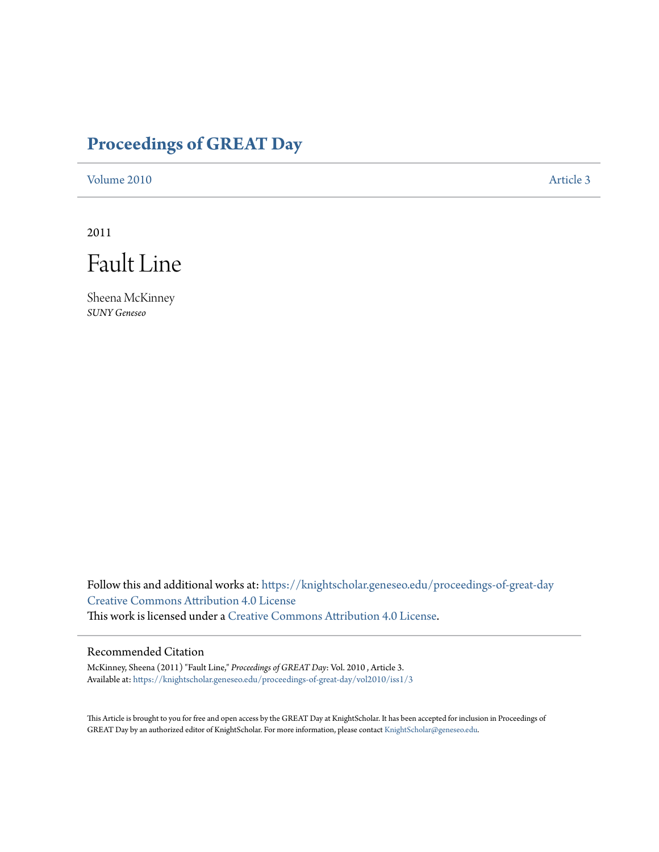# **[Proceedings of GREAT Day](https://knightscholar.geneseo.edu/proceedings-of-great-day?utm_source=knightscholar.geneseo.edu%2Fproceedings-of-great-day%2Fvol2010%2Fiss1%2F3&utm_medium=PDF&utm_campaign=PDFCoverPages)**

[Volume 2010](https://knightscholar.geneseo.edu/proceedings-of-great-day/vol2010?utm_source=knightscholar.geneseo.edu%2Fproceedings-of-great-day%2Fvol2010%2Fiss1%2F3&utm_medium=PDF&utm_campaign=PDFCoverPages) [Article 3](https://knightscholar.geneseo.edu/proceedings-of-great-day/vol2010/iss1/3?utm_source=knightscholar.geneseo.edu%2Fproceedings-of-great-day%2Fvol2010%2Fiss1%2F3&utm_medium=PDF&utm_campaign=PDFCoverPages)

2011



Sheena McKinney *SUNY Geneseo*

Follow this and additional works at: [https://knightscholar.geneseo.edu/proceedings-of-great-day](https://knightscholar.geneseo.edu/proceedings-of-great-day?utm_source=knightscholar.geneseo.edu%2Fproceedings-of-great-day%2Fvol2010%2Fiss1%2F3&utm_medium=PDF&utm_campaign=PDFCoverPages) [Creative Commons Attribution 4.0 License](http://creativecommons.org/licenses/by/4.0/) This work is licensed under a [Creative Commons Attribution 4.0 License.](http://creativecommons.org/licenses/by/4.0/)

## Recommended Citation

McKinney, Sheena (2011) "Fault Line," *Proceedings of GREAT Day*: Vol. 2010 , Article 3. Available at: [https://knightscholar.geneseo.edu/proceedings-of-great-day/vol2010/iss1/3](https://knightscholar.geneseo.edu/proceedings-of-great-day/vol2010/iss1/3?utm_source=knightscholar.geneseo.edu%2Fproceedings-of-great-day%2Fvol2010%2Fiss1%2F3&utm_medium=PDF&utm_campaign=PDFCoverPages)

This Article is brought to you for free and open access by the GREAT Day at KnightScholar. It has been accepted for inclusion in Proceedings of GREAT Day by an authorized editor of KnightScholar. For more information, please contact [KnightScholar@geneseo.edu.](mailto:KnightScholar@geneseo.edu)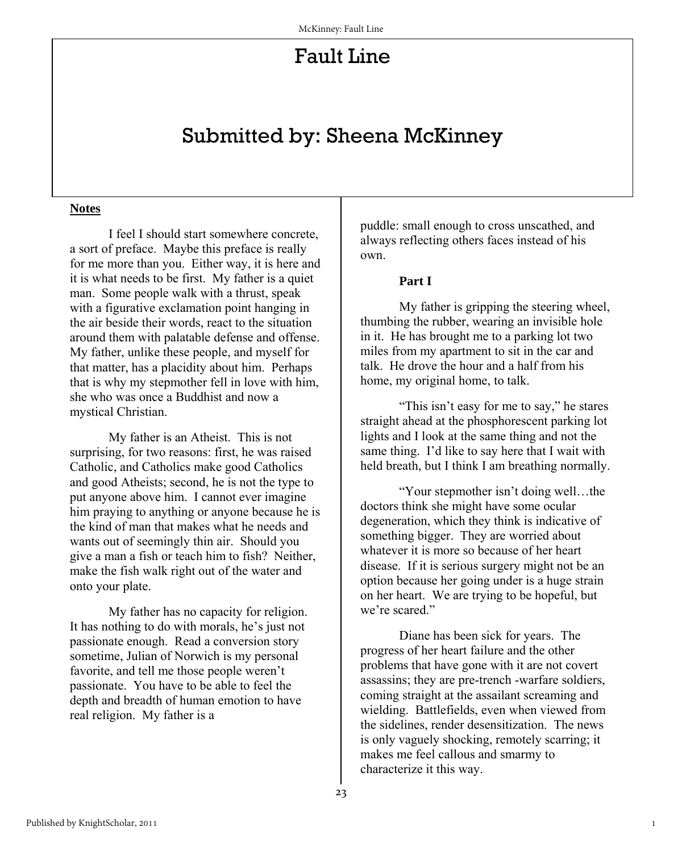## Fault Line

## Submitted by: Sheena McKinney

#### **Notes**

 I feel I should start somewhere concrete, a sort of preface. Maybe this preface is really for me more than you. Either way, it is here and it is what needs to be first. My father is a quiet man. Some people walk with a thrust, speak with a figurative exclamation point hanging in the air beside their words, react to the situation around them with palatable defense and offense. My father, unlike these people, and myself for that matter, has a placidity about him. Perhaps that is why my stepmother fell in love with him, she who was once a Buddhist and now a mystical Christian.

 My father is an Atheist. This is not surprising, for two reasons: first, he was raised Catholic, and Catholics make good Catholics and good Atheists; second, he is not the type to put anyone above him. I cannot ever imagine him praying to anything or anyone because he is the kind of man that makes what he needs and wants out of seemingly thin air. Should you give a man a fish or teach him to fish? Neither, make the fish walk right out of the water and onto your plate.

 My father has no capacity for religion. It has nothing to do with morals, he's just not passionate enough. Read a conversion story sometime, Julian of Norwich is my personal favorite, and tell me those people weren't passionate. You have to be able to feel the depth and breadth of human emotion to have real religion. My father is a

puddle: small enough to cross unscathed, and always reflecting others faces instead of his own.

#### **Part I**

My father is gripping the steering wheel, thumbing the rubber, wearing an invisible hole in it. He has brought me to a parking lot two miles from my apartment to sit in the car and talk. He drove the hour and a half from his home, my original home, to talk.

 "This isn't easy for me to say," he stares straight ahead at the phosphorescent parking lot lights and I look at the same thing and not the same thing. I'd like to say here that I wait with held breath, but I think I am breathing normally.

 "Your stepmother isn't doing well…the doctors think she might have some ocular degeneration, which they think is indicative of something bigger. They are worried about whatever it is more so because of her heart disease. If it is serious surgery might not be an option because her going under is a huge strain on her heart. We are trying to be hopeful, but we're scared."

Diane has been sick for years. The progress of her heart failure and the other problems that have gone with it are not covert assassins; they are pre-trench -warfare soldiers, coming straight at the assailant screaming and wielding. Battlefields, even when viewed from the sidelines, render desensitization. The news is only vaguely shocking, remotely scarring; it makes me feel callous and smarmy to characterize it this way.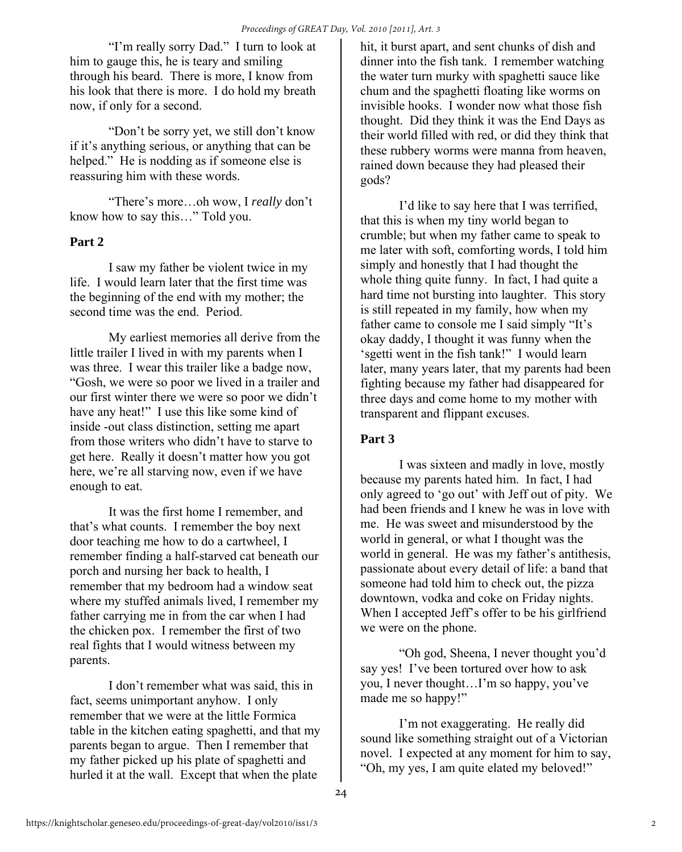"I'm really sorry Dad." I turn to look at him to gauge this, he is teary and smiling through his beard. There is more, I know from his look that there is more. I do hold my breath now, if only for a second.

 "Don't be sorry yet, we still don't know if it's anything serious, or anything that can be helped." He is nodding as if someone else is reassuring him with these words.

 "There's more…oh wow, I *really* don't know how to say this…" Told you.

#### **Part 2**

 I saw my father be violent twice in my life. I would learn later that the first time was the beginning of the end with my mother; the second time was the end. Period.

 My earliest memories all derive from the little trailer I lived in with my parents when I was three. I wear this trailer like a badge now, "Gosh, we were so poor we lived in a trailer and our first winter there we were so poor we didn't have any heat!" I use this like some kind of inside -out class distinction, setting me apart from those writers who didn't have to starve to get here. Really it doesn't matter how you got here, we're all starving now, even if we have enough to eat.

 It was the first home I remember, and that's what counts. I remember the boy next door teaching me how to do a cartwheel, I remember finding a half-starved cat beneath our porch and nursing her back to health, I remember that my bedroom had a window seat where my stuffed animals lived, I remember my father carrying me in from the car when I had the chicken pox. I remember the first of two real fights that I would witness between my parents.

 I don't remember what was said, this in fact, seems unimportant anyhow. I only remember that we were at the little Formica table in the kitchen eating spaghetti, and that my parents began to argue. Then I remember that my father picked up his plate of spaghetti and hurled it at the wall. Except that when the plate

hit, it burst apart, and sent chunks of dish and dinner into the fish tank. I remember watching the water turn murky with spaghetti sauce like chum and the spaghetti floating like worms on invisible hooks. I wonder now what those fish thought. Did they think it was the End Days as their world filled with red, or did they think that these rubbery worms were manna from heaven, rained down because they had pleased their gods?

 I'd like to say here that I was terrified, that this is when my tiny world began to crumble; but when my father came to speak to me later with soft, comforting words, I told him simply and honestly that I had thought the whole thing quite funny. In fact, I had quite a hard time not bursting into laughter. This story is still repeated in my family, how when my father came to console me I said simply "It's okay daddy, I thought it was funny when the 'sgetti went in the fish tank!" I would learn later, many years later, that my parents had been fighting because my father had disappeared for three days and come home to my mother with transparent and flippant excuses.

## **Part 3**

 I was sixteen and madly in love, mostly because my parents hated him. In fact, I had only agreed to 'go out' with Jeff out of pity. We had been friends and I knew he was in love with me. He was sweet and misunderstood by the world in general, or what I thought was the world in general. He was my father's antithesis, passionate about every detail of life: a band that someone had told him to check out, the pizza downtown, vodka and coke on Friday nights. When I accepted Jeff's offer to be his girlfriend we were on the phone.

 "Oh god, Sheena, I never thought you'd say yes! I've been tortured over how to ask you, I never thought…I'm so happy, you've made me so happy!"

I'm not exaggerating. He really did sound like something straight out of a Victorian novel. I expected at any moment for him to say, "Oh, my yes, I am quite elated my beloved!"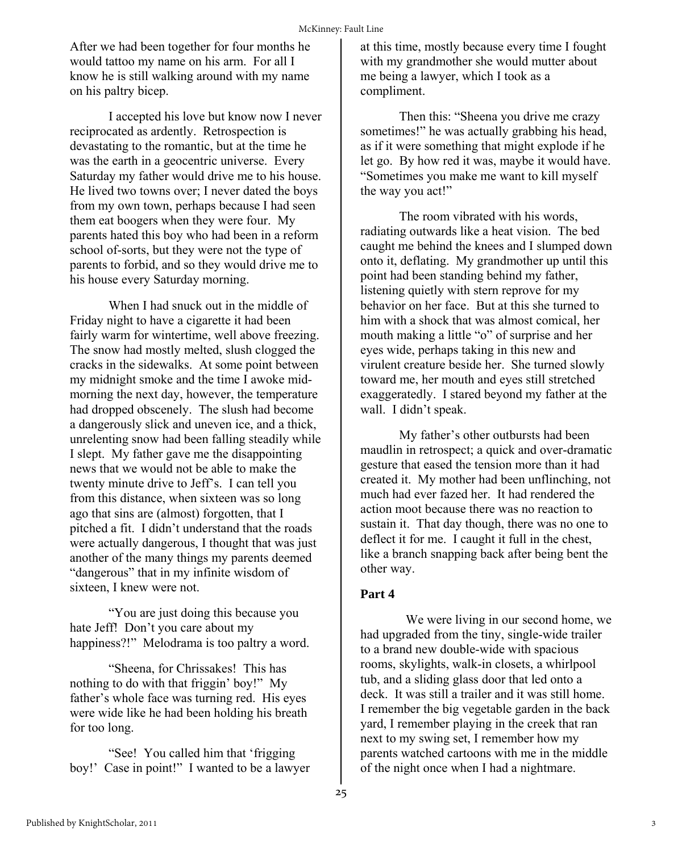After we had been together for four months he would tattoo my name on his arm. For all I know he is still walking around with my name on his paltry bicep.

 I accepted his love but know now I never reciprocated as ardently. Retrospection is devastating to the romantic, but at the time he was the earth in a geocentric universe. Every Saturday my father would drive me to his house. He lived two towns over; I never dated the boys from my own town, perhaps because I had seen them eat boogers when they were four. My parents hated this boy who had been in a reform school of-sorts, but they were not the type of parents to forbid, and so they would drive me to his house every Saturday morning.

When I had snuck out in the middle of Friday night to have a cigarette it had been fairly warm for wintertime, well above freezing. The snow had mostly melted, slush clogged the cracks in the sidewalks. At some point between my midnight smoke and the time I awoke midmorning the next day, however, the temperature had dropped obscenely. The slush had become a dangerously slick and uneven ice, and a thick, unrelenting snow had been falling steadily while I slept. My father gave me the disappointing news that we would not be able to make the twenty minute drive to Jeff's. I can tell you from this distance, when sixteen was so long ago that sins are (almost) forgotten, that I pitched a fit. I didn't understand that the roads were actually dangerous, I thought that was just another of the many things my parents deemed "dangerous" that in my infinite wisdom of sixteen, I knew were not.

 "You are just doing this because you hate Jeff! Don't you care about my happiness?!" Melodrama is too paltry a word.

 "Sheena, for Chrissakes! This has nothing to do with that friggin' boy!" My father's whole face was turning red. His eyes were wide like he had been holding his breath for too long.

 "See! You called him that 'frigging boy!' Case in point!" I wanted to be a lawyer at this time, mostly because every time I fought with my grandmother she would mutter about me being a lawyer, which I took as a compliment.

 Then this: "Sheena you drive me crazy sometimes!" he was actually grabbing his head, as if it were something that might explode if he let go. By how red it was, maybe it would have. "Sometimes you make me want to kill myself the way you act!"

 The room vibrated with his words, radiating outwards like a heat vision. The bed caught me behind the knees and I slumped down onto it, deflating. My grandmother up until this point had been standing behind my father, listening quietly with stern reprove for my behavior on her face. But at this she turned to him with a shock that was almost comical, her mouth making a little "o" of surprise and her eyes wide, perhaps taking in this new and virulent creature beside her. She turned slowly toward me, her mouth and eyes still stretched exaggeratedly. I stared beyond my father at the wall. I didn't speak.

My father's other outbursts had been maudlin in retrospect; a quick and over-dramatic gesture that eased the tension more than it had created it. My mother had been unflinching, not much had ever fazed her. It had rendered the action moot because there was no reaction to sustain it. That day though, there was no one to deflect it for me. I caught it full in the chest, like a branch snapping back after being bent the other way.

#### **Part 4**

 We were living in our second home, we had upgraded from the tiny, single-wide trailer to a brand new double-wide with spacious rooms, skylights, walk-in closets, a whirlpool tub, and a sliding glass door that led onto a deck. It was still a trailer and it was still home. I remember the big vegetable garden in the back yard, I remember playing in the creek that ran next to my swing set, I remember how my parents watched cartoons with me in the middle of the night once when I had a nightmare.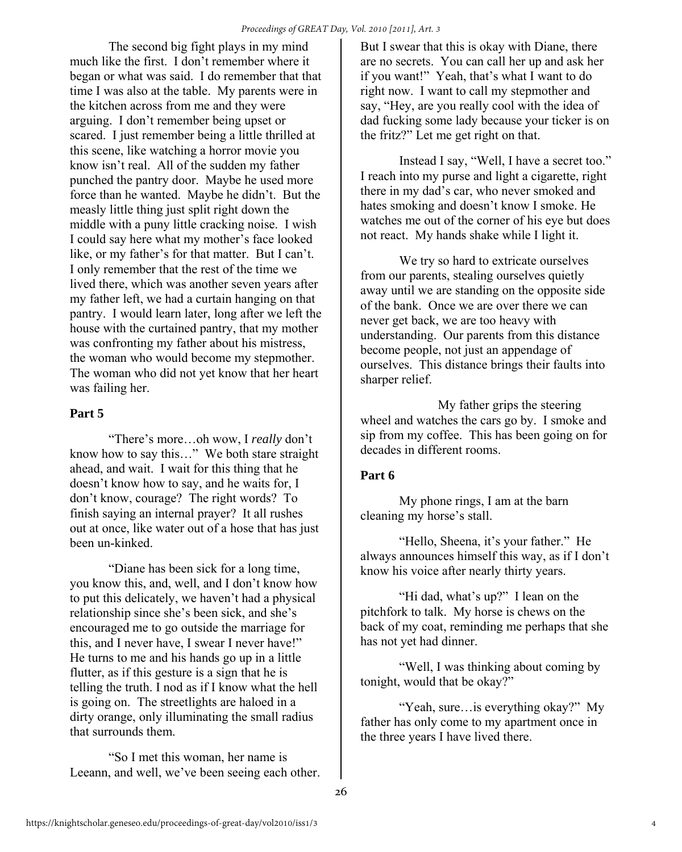The second big fight plays in my mind much like the first. I don't remember where it began or what was said. I do remember that that time I was also at the table. My parents were in the kitchen across from me and they were arguing. I don't remember being upset or scared. I just remember being a little thrilled at this scene, like watching a horror movie you know isn't real. All of the sudden my father punched the pantry door. Maybe he used more force than he wanted. Maybe he didn't. But the measly little thing just split right down the middle with a puny little cracking noise. I wish I could say here what my mother's face looked like, or my father's for that matter. But I can't. I only remember that the rest of the time we lived there, which was another seven years after my father left, we had a curtain hanging on that pantry. I would learn later, long after we left the house with the curtained pantry, that my mother was confronting my father about his mistress, the woman who would become my stepmother. The woman who did not yet know that her heart was failing her.

## **Part 5**

 "There's more…oh wow, I *really* don't know how to say this…" We both stare straight ahead, and wait. I wait for this thing that he doesn't know how to say, and he waits for, I don't know, courage? The right words? To finish saying an internal prayer? It all rushes out at once, like water out of a hose that has just been un-kinked.

"Diane has been sick for a long time, you know this, and, well, and I don't know how to put this delicately, we haven't had a physical relationship since she's been sick, and she's encouraged me to go outside the marriage for this, and I never have, I swear I never have!" He turns to me and his hands go up in a little flutter, as if this gesture is a sign that he is telling the truth. I nod as if I know what the hell is going on. The streetlights are haloed in a dirty orange, only illuminating the small radius that surrounds them.

 "So I met this woman, her name is Leeann, and well, we've been seeing each other. But I swear that this is okay with Diane, there are no secrets. You can call her up and ask her if you want!" Yeah, that's what I want to do right now. I want to call my stepmother and say, "Hey, are you really cool with the idea of dad fucking some lady because your ticker is on the fritz?" Let me get right on that.

 Instead I say, "Well, I have a secret too." I reach into my purse and light a cigarette, right there in my dad's car, who never smoked and hates smoking and doesn't know I smoke. He watches me out of the corner of his eye but does not react. My hands shake while I light it.

We try so hard to extricate ourselves from our parents, stealing ourselves quietly away until we are standing on the opposite side of the bank. Once we are over there we can never get back, we are too heavy with understanding. Our parents from this distance become people, not just an appendage of ourselves. This distance brings their faults into sharper relief.

 My father grips the steering wheel and watches the cars go by. I smoke and sip from my coffee. This has been going on for decades in different rooms.

## **Part 6**

 My phone rings, I am at the barn cleaning my horse's stall.

 "Hello, Sheena, it's your father." He always announces himself this way, as if I don't know his voice after nearly thirty years.

 "Hi dad, what's up?" I lean on the pitchfork to talk. My horse is chews on the back of my coat, reminding me perhaps that she has not yet had dinner.

"Well, I was thinking about coming by tonight, would that be okay?"

 "Yeah, sure…is everything okay?" My father has only come to my apartment once in the three years I have lived there.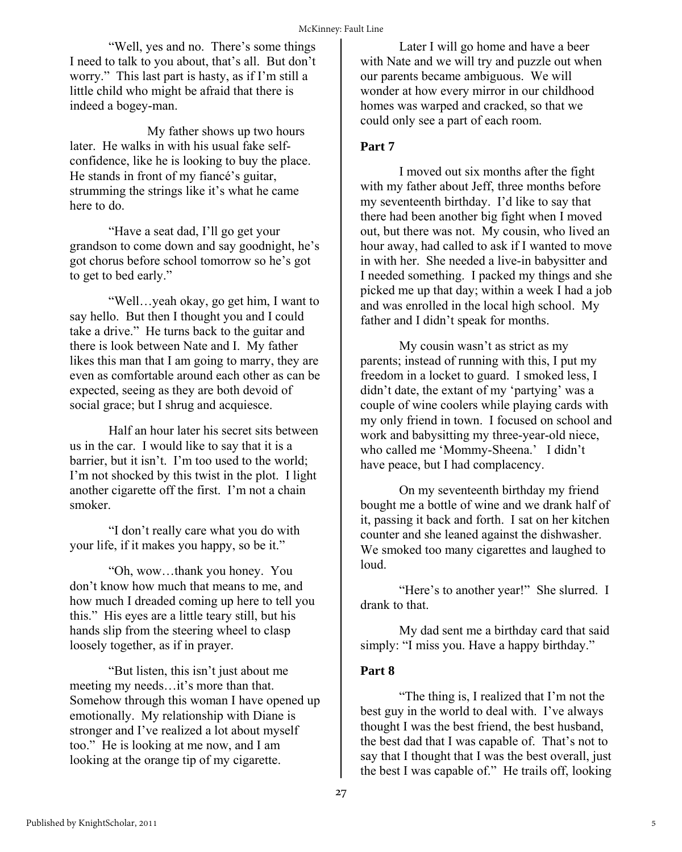"Well, yes and no. There's some things I need to talk to you about, that's all. But don't worry." This last part is hasty, as if I'm still a little child who might be afraid that there is indeed a bogey-man.

 My father shows up two hours later. He walks in with his usual fake selfconfidence, like he is looking to buy the place. He stands in front of my fiancé's guitar, strumming the strings like it's what he came here to do.

 "Have a seat dad, I'll go get your grandson to come down and say goodnight, he's got chorus before school tomorrow so he's got to get to bed early."

 "Well…yeah okay, go get him, I want to say hello. But then I thought you and I could take a drive." He turns back to the guitar and there is look between Nate and I. My father likes this man that I am going to marry, they are even as comfortable around each other as can be expected, seeing as they are both devoid of social grace; but I shrug and acquiesce.

 Half an hour later his secret sits between us in the car. I would like to say that it is a barrier, but it isn't. I'm too used to the world; I'm not shocked by this twist in the plot. I light another cigarette off the first. I'm not a chain smoker.

 "I don't really care what you do with your life, if it makes you happy, so be it."

 "Oh, wow…thank you honey. You don't know how much that means to me, and how much I dreaded coming up here to tell you this." His eyes are a little teary still, but his hands slip from the steering wheel to clasp loosely together, as if in prayer.

"But listen, this isn't just about me meeting my needs…it's more than that. Somehow through this woman I have opened up emotionally. My relationship with Diane is stronger and I've realized a lot about myself too." He is looking at me now, and I am looking at the orange tip of my cigarette.

Later I will go home and have a beer with Nate and we will try and puzzle out when our parents became ambiguous. We will wonder at how every mirror in our childhood homes was warped and cracked, so that we could only see a part of each room.

#### **Part 7**

I moved out six months after the fight with my father about Jeff, three months before my seventeenth birthday. I'd like to say that there had been another big fight when I moved out, but there was not. My cousin, who lived an hour away, had called to ask if I wanted to move in with her. She needed a live-in babysitter and I needed something. I packed my things and she picked me up that day; within a week I had a job and was enrolled in the local high school. My father and I didn't speak for months.

 My cousin wasn't as strict as my parents; instead of running with this, I put my freedom in a locket to guard. I smoked less, I didn't date, the extant of my 'partying' was a couple of wine coolers while playing cards with my only friend in town. I focused on school and work and babysitting my three-year-old niece, who called me 'Mommy-Sheena.' I didn't have peace, but I had complacency.

 On my seventeenth birthday my friend bought me a bottle of wine and we drank half of it, passing it back and forth. I sat on her kitchen counter and she leaned against the dishwasher. We smoked too many cigarettes and laughed to loud.

 "Here's to another year!" She slurred. I drank to that.

 My dad sent me a birthday card that said simply: "I miss you. Have a happy birthday."

## **Part 8**

 "The thing is, I realized that I'm not the best guy in the world to deal with. I've always thought I was the best friend, the best husband, the best dad that I was capable of. That's not to say that I thought that I was the best overall, just the best I was capable of." He trails off, looking